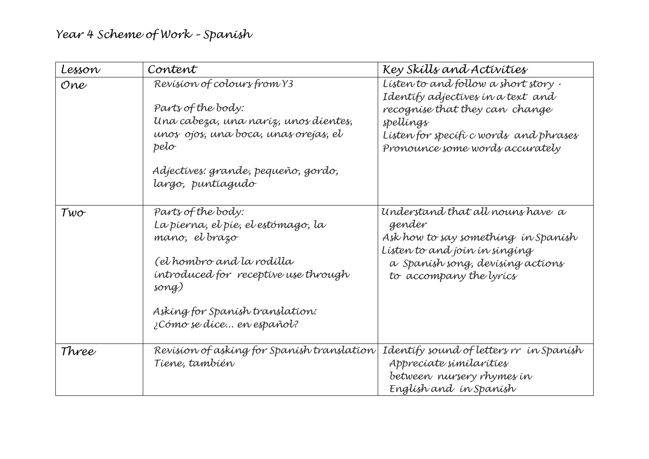| Lesson     | Content                                                                                                                                                                                                                         | Key Skílls and Activities                                                                                                                                                                                  |
|------------|---------------------------------------------------------------------------------------------------------------------------------------------------------------------------------------------------------------------------------|------------------------------------------------------------------------------------------------------------------------------------------------------------------------------------------------------------|
| One        | Revision of colours from Y3<br><i>Parts of the body:</i><br>Una cabeza, una naríz, unos díentes,<br>unos ojos, una boca, unas orejas, el<br>pelo<br>Adjectives: grande, pequeño, gordo,<br>largo, puntiagudo                    | Listen to and follow a short story.<br>Identify adjectives in a text and<br>recognise that they can change<br><i>spellings</i><br>Listen for specific words and phrases<br>Pronounce some words accurately |
| $Tw\sigma$ | <i>Parts of the body:</i><br>La píerna, el píe, el estómago, la<br>mano, el brazo<br>(el hombro and la rodílla<br>introduced for receptive use through<br>song)<br>Asking for Spanish translation:<br>¿Cómo se díce en español? | Understand that all nouns have a<br>gender<br>Ask how to say something in Spanish<br>Listen to and join in singing<br>a Spanish song, devising actions<br>to accompany the lyrics                          |
| Three      | Revision of asking for Spanish translation<br>Tíene, tambíén                                                                                                                                                                    | Identify sound of letters rr in Spanish<br>Appreciate similarities<br>between nursery rhymes in<br>Englísh and <i>in</i> Spanísh                                                                           |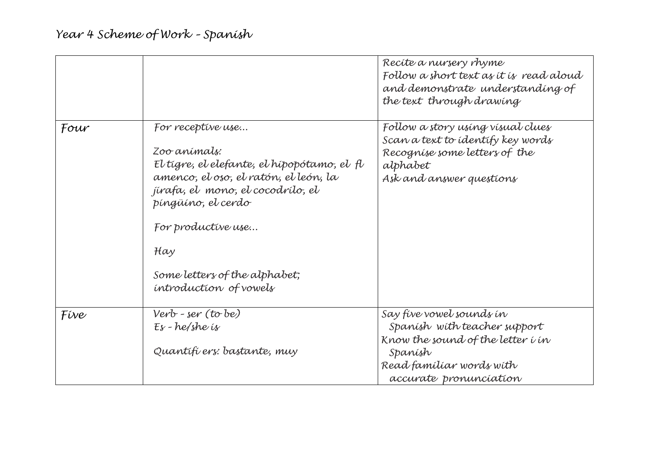|      |                                                                                                                                                                                                                                                                                   | Recite a nursery rhyme<br>Follow a short text as it is read aloud<br>and demonstrate understanding of<br>the text through drawing                              |
|------|-----------------------------------------------------------------------------------------------------------------------------------------------------------------------------------------------------------------------------------------------------------------------------------|----------------------------------------------------------------------------------------------------------------------------------------------------------------|
| Four | For receptive use<br>Zoo anímatx:<br>El tígre, el elefante, el hipopótamo, el $\beta$<br>amenco, el oso, el ratón, el león, la<br>jírafa, el mono, el cocodrílo, el<br>píngüíno, el cerdo<br>For productive use<br>Hay<br>Some letters of the alphabet;<br>introduction of vowels | Follow a story using visual clues<br>Scan a text to identify key words<br>Recognise some letters of the<br>alphabet<br>Ask and answer questions                |
| Five | Verb - ser (to be)<br>$E$ s - he/she is<br>Quantifi ers: bastante, muy                                                                                                                                                                                                            | Say five vowel sounds in<br>Spanish with teacher support<br>Know the sound of the letter i in<br>Spanísh<br>Read famílíar words wíth<br>accurate pronunciation |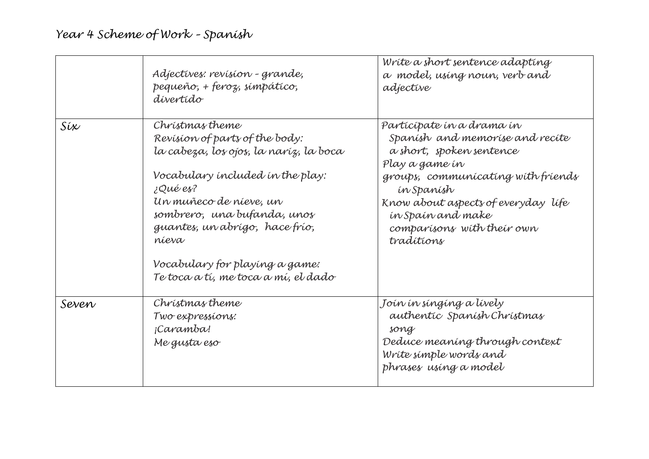|       | Adjectives: revision - grande,<br>pequeño, + feroz, símpático,<br>divertido                                                                                                                                                                                                                                              | Wríte a short sentence adaptíng<br>a model, using noun, verb and<br>adjective                                                                                                                                                                                          |
|-------|--------------------------------------------------------------------------------------------------------------------------------------------------------------------------------------------------------------------------------------------------------------------------------------------------------------------------|------------------------------------------------------------------------------------------------------------------------------------------------------------------------------------------------------------------------------------------------------------------------|
| Síx   | Chrístmas theme<br>Revision of parts of the body:<br>la cabeza, los ojos, la naríz, la boca<br>Vocabulary íncluded ín the play:<br>¿Qué es?<br>Un muñeco de níeve, un<br>sombrero, una bufanda, unos<br>guantes, un abrígo, hace frío,<br>níera<br>Vocabulary for playíng a game:<br>Te toca a tí, me toca a mí, el dado | Particípate in a drama in<br>Spanish and memorise and recite<br>a short, spoken sentence<br>Play a game in<br>groups, communicating with friends<br>ín Spanísh<br>Know about aspects of everyday life<br>in Spain and make<br>comparisons with their own<br>tradítions |
| Seven | Christmas theme<br>Two expressions:<br>¡Caramba!<br>Me gusta eso                                                                                                                                                                                                                                                         | Joín ín síngíng a lívely<br>authentic Spanish Christmas<br>song<br>Deduce meaning through context<br>Write simple words and<br>phrases using a model                                                                                                                   |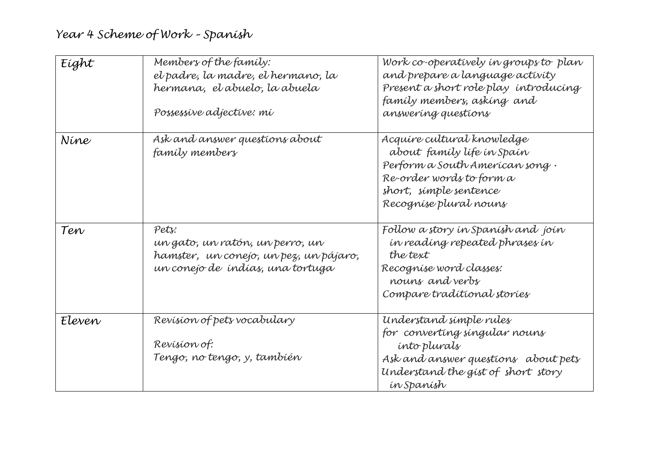## *Year 4 Scheme of Work – Spanish*

| Eight  | Members of the family:<br>el padre, la madre, el hermano, la<br>hermana, el abuelo, la abuela<br>Possessive adjective: mi | Work co-operatively in groups to plan<br>and prepare a language activity<br>Present a short role play introducing<br>famíly members, askíng and<br>answering questions     |
|--------|---------------------------------------------------------------------------------------------------------------------------|----------------------------------------------------------------------------------------------------------------------------------------------------------------------------|
| Níne   | Ask and answer questions about<br>famíly members                                                                          | Acquire cultural knowledge<br>about famíly lífe ín Spaín<br>Perform a South American song.<br>Re-order words to form a<br>short, simple sentence<br>Recognise plural nouns |
| Ten    | Pets:<br>un gato, un ratón, un perro, un<br>hamster, un conejo, un pez, un pájaro,<br>un conejo de índías, una tortuga    | Follow a story in Spanish and join<br>in reading repeated phrases in<br>the text<br>Recognise word classes:<br>nouns and verbs<br>Compare traditional stories              |
| Eleven | Revision of pets vocabulary<br>Revision of:<br>Tengo, no tengo, y, tambíén                                                | Understand simple rules<br>for converting singular nouns<br>into plurals<br>Ask and answer questions about pets<br>Understand the gist of short story<br>ín Spanísh        |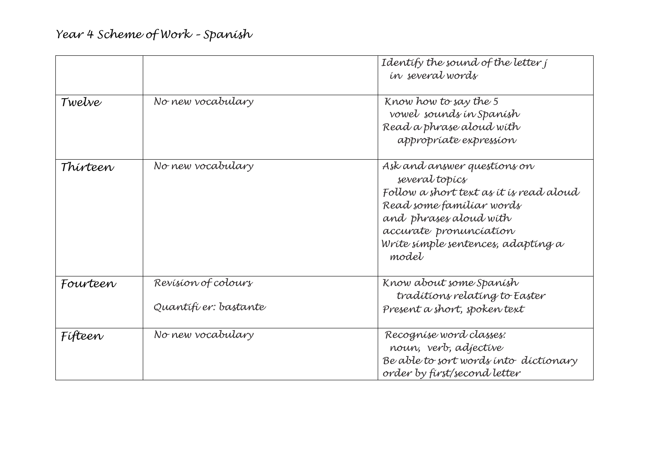|          |                                             | Identify the sound of the letter j<br>in several words                                                                                                                                                                  |
|----------|---------------------------------------------|-------------------------------------------------------------------------------------------------------------------------------------------------------------------------------------------------------------------------|
| Twelve   | No new vocabulary                           | Know how to say the 5<br>vowel sounds in Spanish<br>Read a phrase aloud with<br>appropriate expression                                                                                                                  |
| Thírteen | No new vocabulary                           | Ask and answer questions on<br>several topics<br>Follow a short text as it is read aloud<br>Read some familiar words<br>and phrases aloud with<br>accurate pronunciation<br>Write simple sentences, adapting a<br>model |
| Fourteen | Revision of colours<br>Quantifíer: bastante | Know about some Spanish<br>traditions relating to Easter<br>Present a short, spoken text                                                                                                                                |
| Fífteen  | No new vocabulary                           | Recognise word classes:<br>noun, verb, adjective<br>Be able to sort words into dictionary<br>order by first/second letter                                                                                               |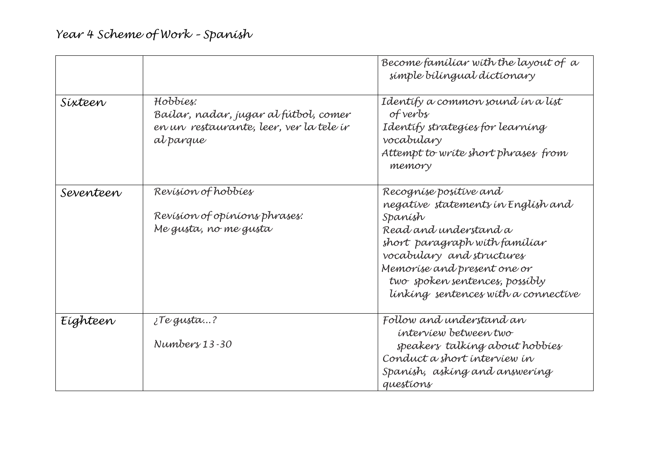|           |                                                                                                           | Become familiar with the layout of a<br>simple bilingual dictionary                                                                                                                                                                                                    |
|-----------|-----------------------------------------------------------------------------------------------------------|------------------------------------------------------------------------------------------------------------------------------------------------------------------------------------------------------------------------------------------------------------------------|
| Síxteen   | Hobbies:<br>Baílar, nadar, jugar al fútbol, comer<br>en un restaurante, leer, ver la tele ír<br>al parque | Identify a common sound in a list<br>of verby<br>Identify strategies for learning<br>vocabulary<br>Attempt to write short phrases from<br>memory                                                                                                                       |
| Seventeen | Revision of hobbies<br>Revision of opinions phrases:<br>Me gusta, no me gusta                             | Recognise positive and<br>negative statements in English and<br>Spanísh<br>Read and understand a<br>short paragraph with familiar<br>vocabulary and structures<br>Memorise and present one or<br>two spoken sentences, possibly<br>linking sentences with a connective |
| Eighteen  | ¿Te gusta…?<br>$Number: 13-30$                                                                            | Follow and understand an<br>interview between two<br>speakers talking about hobbies<br>Conduct a short interview in<br>Spanísh, askíng and answering<br>questions                                                                                                      |